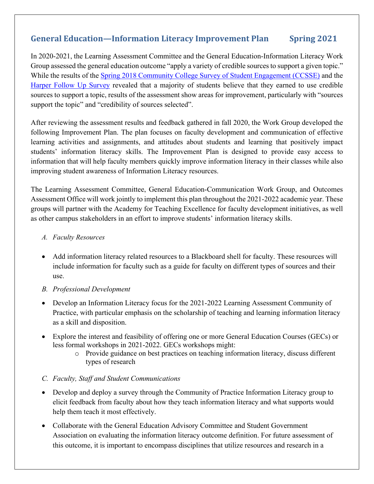## **General Education—Information Literacy Improvement Plan Spring 2021**

In 2020-2021, the Learning Assessment Committee and the General Education-Information Literacy Work Group assessed the general education outcome "apply a variety of credible sources to support a given topic." While the results of the [Spring 2018 Community College Survey of Student Engagement \(CCSSE\)](https://hipexternal.harpercollege.edu/ourcollege/IR/Pages/CCSSE-and-CCFSSE-REVISION.aspx) and the [Harper Follow Up Survey](https://hipexternal.harpercollege.edu/ourcollege/IR/Pages/Follow%20Up%20Survey.aspx) revealed that a majority of students believe that they earned to use credible sources to support a topic, results of the assessment show areas for improvement, particularly with "sources support the topic" and "credibility of sources selected".

After reviewing the assessment results and feedback gathered in fall 2020, the Work Group developed the following Improvement Plan. The plan focuses on faculty development and communication of effective learning activities and assignments, and attitudes about students and learning that positively impact students' information literacy skills. The Improvement Plan is designed to provide easy access to information that will help faculty members quickly improve information literacy in their classes while also improving student awareness of Information Literacy resources.

The Learning Assessment Committee, General Education-Communication Work Group, and Outcomes Assessment Office will work jointly to implement this plan throughout the 2021-2022 academic year. These groups will partner with the Academy for Teaching Excellence for faculty development initiatives, as well as other campus stakeholders in an effort to improve students' information literacy skills.

## *A. Faculty Resources*

• Add information literacy related resources to a Blackboard shell for faculty. These resources will include information for faculty such as a guide for faculty on different types of sources and their use.

## *B. Professional Development*

- Develop an Information Literacy focus for the 2021-2022 Learning Assessment Community of Practice, with particular emphasis on the scholarship of teaching and learning information literacy as a skill and disposition.
- Explore the interest and feasibility of offering one or more General Education Courses (GECs) or less formal workshops in 2021-2022. GECs workshops might:
	- o Provide guidance on best practices on teaching information literacy, discuss different types of research

Last revision: Faon Grandinetti April 2018

## *C. Faculty, Staff and Student Communications*

- Develop and deploy a survey through the Community of Practice Information Literacy group to elicit feedback from faculty about how they teach information literacy and what supports would help them teach it most effectively.
- Collaborate with the General Education Advisory Committee and Student Government Association on evaluating the information literacy outcome definition. For future assessment of this outcome, it is important to encompass disciplines that utilize resources and research in a